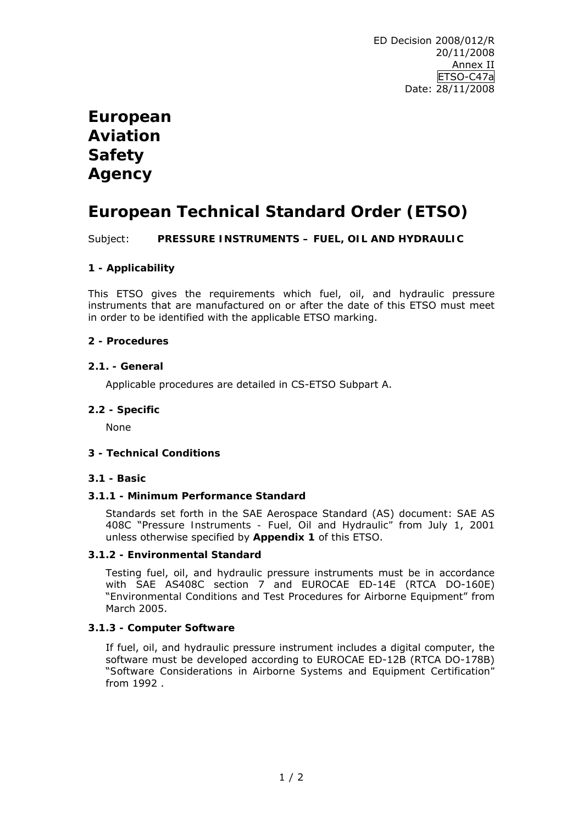# **European Aviation Safety Agency**

# **European Technical Standard Order (ETSO)**

Subject: **PRESSURE INSTRUMENTS – FUEL, OIL AND HYDRAULIC** 

# **1 - Applicability**

This ETSO gives the requirements which fuel, oil, and hydraulic pressure instruments that are manufactured on or after the date of this ETSO must meet in order to be identified with the applicable ETSO marking.

## **2 - Procedures**

### **2.1. - General**

Applicable procedures are detailed in CS-ETSO Subpart A.

### **2.2 - Specific**

None

#### **3 - Technical Conditions**

#### **3.1 - Basic**

#### **3.1.1 - Minimum Performance Standard**

Standards set forth in the SAE Aerospace Standard (AS) document: SAE AS 408C "*Pressure Instruments - Fuel, Oil and Hydraulic"* from July 1, 2001 unless otherwise specified by **Appendix 1** of this ETSO.

#### **3.1.2 - Environmental Standard**

Testing fuel, oil, and hydraulic pressure instruments must be in accordance with SAE AS408C section 7 and EUROCAE ED-14E (RTCA DO-160E) "*Environmental Conditions and Test Procedures for Airborne Equipment*" from March 2005.

# **3.1.3 - Computer Software**

If fuel, oil, and hydraulic pressure instrument includes a digital computer, the software must be developed according to EUROCAE ED-12B (RTCA DO-178B) "*Software Considerations in Airborne Systems and Equipment Certification"* from 1992 .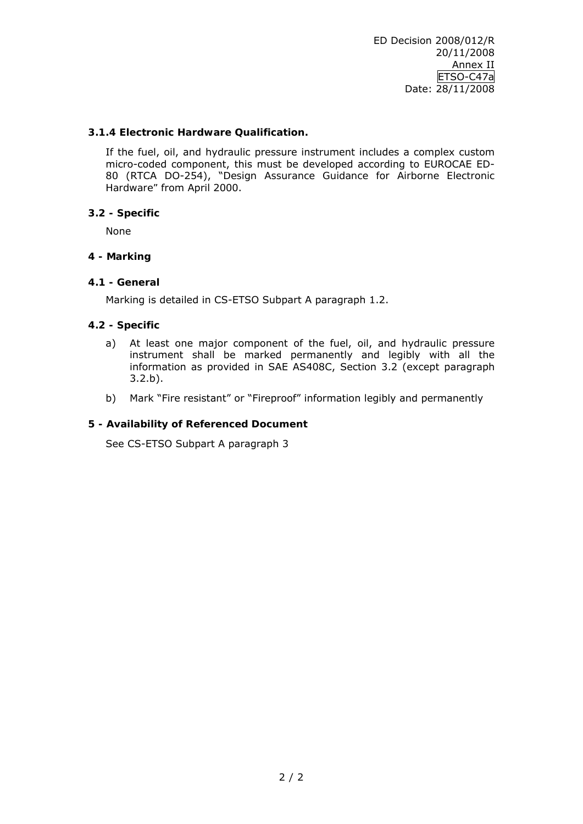## **3.1.4 Electronic Hardware Qualification.**

If the fuel, oil, and hydraulic pressure instrument includes a complex custom micro-coded component, this must be developed according to EUROCAE ED-80 (RTCA DO-254), "*Design Assurance Guidance for Airborne Electronic Hardware"* from April 2000.

# **3.2 - Specific**

None

# **4 - Marking**

# **4.1 - General**

Marking is detailed in CS-ETSO Subpart A paragraph 1.2.

# **4.2 - Specific**

- a) At least one major component of the fuel, oil, and hydraulic pressure instrument shall be marked permanently and legibly with all the information as provided in SAE AS408C, Section 3.2 (except paragraph 3.2.b).
- b) Mark "Fire resistant" or "Fireproof" information legibly and permanently

## **5 - Availability of Referenced Document**

See CS-ETSO Subpart A paragraph 3